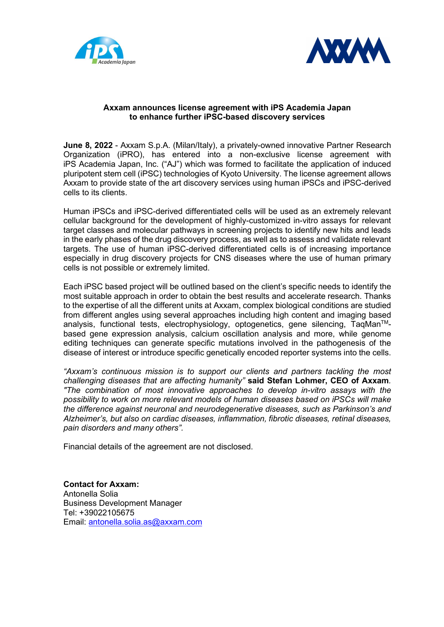



## Axxam announces license agreement with iPS Academia Japan to enhance further iPSC-based discovery services

June 8, 2022 - Axxam S.p.A. (Milan/Italy), a privately-owned innovative Partner Research Organization (iPRO), has entered into a non-exclusive license agreement with iPS Academia Japan, Inc. ("AJ") which was formed to facilitate the application of induced pluripotent stem cell (iPSC) technologies of Kyoto University. The license agreement allows Axxam to provide state of the art discovery services using human iPSCs and iPSC-derived cells to its clients.

Human iPSCs and iPSC-derived differentiated cells will be used as an extremely relevant cellular background for the development of highly-customized in-vitro assays for relevant target classes and molecular pathways in screening projects to identify new hits and leads in the early phases of the drug discovery process, as well as to assess and validate relevant targets. The use of human iPSC-derived differentiated cells is of increasing importance especially in drug discovery projects for CNS diseases where the use of human primary cells is not possible or extremely limited.

Each iPSC based project will be outlined based on the client's specific needs to identify the most suitable approach in order to obtain the best results and accelerate research. Thanks to the expertise of all the different units at Axxam, complex biological conditions are studied from different angles using several approaches including high content and imaging based analysis, functional tests, electrophysiology, optogenetics, gene silencing, TagMan<sup>TM</sup>based gene expression analysis, calcium oscillation analysis and more, while genome editing techniques can generate specific mutations involved in the pathogenesis of the disease of interest or introduce specific genetically encoded reporter systems into the cells.

"Axxam's continuous mission is to support our clients and partners tackling the most challenging diseases that are affecting humanity" said Stefan Lohmer, CEO of Axxam. "The combination of most innovative approaches to develop in-vitro assays with the possibility to work on more relevant models of human diseases based on iPSCs will make the difference against neuronal and neurodegenerative diseases, such as Parkinson's and Alzheimer's, but also on cardiac diseases, inflammation, fibrotic diseases, retinal diseases, pain disorders and many others".

Financial details of the agreement are not disclosed.

Contact for Axxam: Antonella Solia Business Development Manager Tel: +39022105675 Email: antonella.solia.as@axxam.com